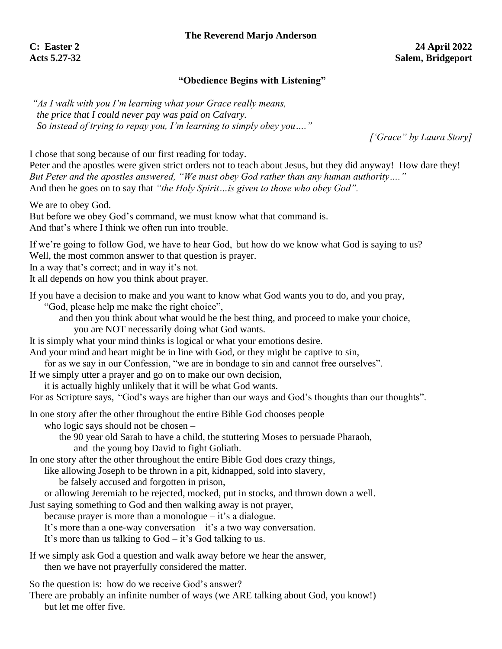# **"Obedience Begins with Listening"**

*"As I walk with you I'm learning what your Grace really means, the price that I could never pay was paid on Calvary. So instead of trying to repay you, I'm learning to simply obey you…."* 

*['Grace" by Laura Story]*

I chose that song because of our first reading for today.

Peter and the apostles were given strict orders not to teach about Jesus, but they did anyway! How dare they! *But Peter and the apostles answered, "We must obey God rather than any human authority…."*  And then he goes on to say that *"the Holy Spirit…is given to those who obey God".*

We are to obey God.

But before we obey God's command, we must know what that command is. And that's where I think we often run into trouble.

If we're going to follow God, we have to hear God, but how do we know what God is saying to us? Well, the most common answer to that question is prayer.

In a way that's correct; and in way it's not.

It all depends on how you think about prayer.

If you have a decision to make and you want to know what God wants you to do, and you pray,

"God, please help me make the right choice",

and then you think about what would be the best thing, and proceed to make your choice, you are NOT necessarily doing what God wants.

It is simply what your mind thinks is logical or what your emotions desire.

And your mind and heart might be in line with God, or they might be captive to sin,

for as we say in our Confession, "we are in bondage to sin and cannot free ourselves".

If we simply utter a prayer and go on to make our own decision,

it is actually highly unlikely that it will be what God wants.

For as Scripture says, "God's ways are higher than our ways and God's thoughts than our thoughts".

In one story after the other throughout the entire Bible God chooses people

who logic says should not be chosen –

the 90 year old Sarah to have a child, the stuttering Moses to persuade Pharaoh,

and the young boy David to fight Goliath.

In one story after the other throughout the entire Bible God does crazy things,

like allowing Joseph to be thrown in a pit, kidnapped, sold into slavery,

be falsely accused and forgotten in prison,

or allowing Jeremiah to be rejected, mocked, put in stocks, and thrown down a well.

Just saying something to God and then walking away is not prayer,

because prayer is more than a monologue  $-$  it's a dialogue.

It's more than a one-way conversation  $-$  it's a two way conversation.

It's more than us talking to God – it's God talking to us.

If we simply ask God a question and walk away before we hear the answer, then we have not prayerfully considered the matter.

So the question is: how do we receive God's answer?

There are probably an infinite number of ways (we ARE talking about God, you know!) but let me offer five.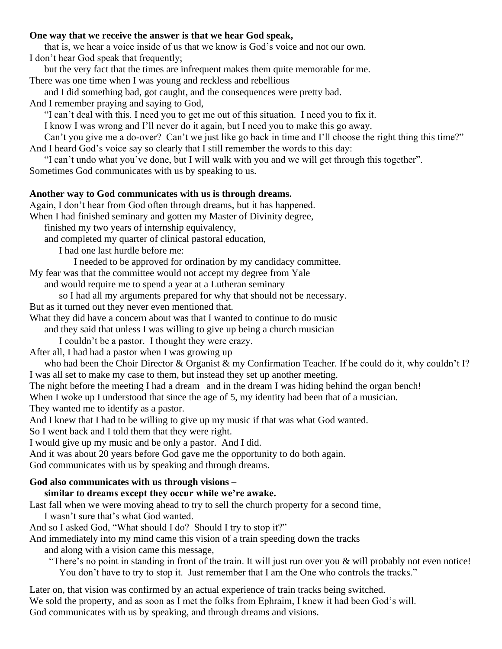## **One way that we receive the answer is that we hear God speak,**

that is, we hear a voice inside of us that we know is God's voice and not our own. I don't hear God speak that frequently;

but the very fact that the times are infrequent makes them quite memorable for me.

There was one time when I was young and reckless and rebellious

and I did something bad, got caught, and the consequences were pretty bad.

And I remember praying and saying to God,

"I can't deal with this. I need you to get me out of this situation. I need you to fix it.

I know I was wrong and I'll never do it again, but I need you to make this go away.

Can't you give me a do-over? Can't we just like go back in time and I'll choose the right thing this time?" And I heard God's voice say so clearly that I still remember the words to this day:

"I can't undo what you've done, but I will walk with you and we will get through this together".

Sometimes God communicates with us by speaking to us.

## **Another way to God communicates with us is through dreams.**

Again, I don't hear from God often through dreams, but it has happened.

When I had finished seminary and gotten my Master of Divinity degree,

finished my two years of internship equivalency,

and completed my quarter of clinical pastoral education,

I had one last hurdle before me:

I needed to be approved for ordination by my candidacy committee.

My fear was that the committee would not accept my degree from Yale

and would require me to spend a year at a Lutheran seminary

so I had all my arguments prepared for why that should not be necessary.

But as it turned out they never even mentioned that.

What they did have a concern about was that I wanted to continue to do music

and they said that unless I was willing to give up being a church musician

I couldn't be a pastor. I thought they were crazy.

After all, I had had a pastor when I was growing up

who had been the Choir Director & Organist & my Confirmation Teacher. If he could do it, why couldn't I? I was all set to make my case to them, but instead they set up another meeting.

The night before the meeting I had a dream and in the dream I was hiding behind the organ bench!

When I woke up I understood that since the age of 5, my identity had been that of a musician.

They wanted me to identify as a pastor.

And I knew that I had to be willing to give up my music if that was what God wanted.

So I went back and I told them that they were right.

I would give up my music and be only a pastor. And I did.

And it was about 20 years before God gave me the opportunity to do both again.

God communicates with us by speaking and through dreams.

# **God also communicates with us through visions –**

# **similar to dreams except they occur while we're awake.**

Last fall when we were moving ahead to try to sell the church property for a second time,

I wasn't sure that's what God wanted.

And so I asked God, "What should I do? Should I try to stop it?"

And immediately into my mind came this vision of a train speeding down the tracks

and along with a vision came this message,

"There's no point in standing in front of the train. It will just run over you & will probably not even notice!

You don't have to try to stop it. Just remember that I am the One who controls the tracks."

Later on, that vision was confirmed by an actual experience of train tracks being switched. We sold the property, and as soon as I met the folks from Ephraim, I knew it had been God's will. God communicates with us by speaking, and through dreams and visions.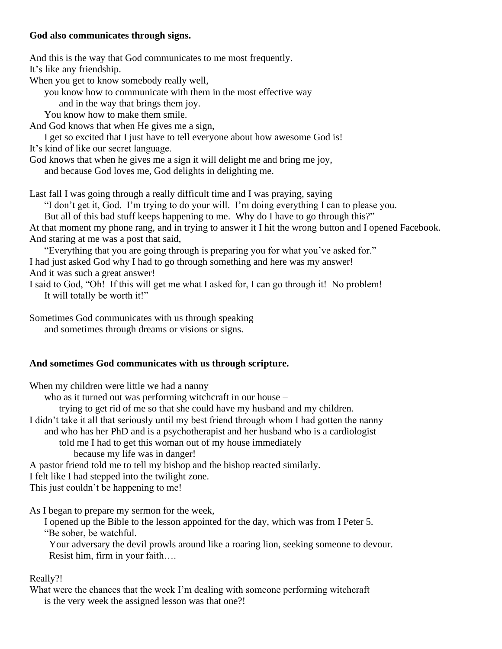## **God also communicates through signs.**

And this is the way that God communicates to me most frequently. It's like any friendship.

When you get to know somebody really well,

you know how to communicate with them in the most effective way

and in the way that brings them joy.

You know how to make them smile.

And God knows that when He gives me a sign,

I get so excited that I just have to tell everyone about how awesome God is! It's kind of like our secret language.

God knows that when he gives me a sign it will delight me and bring me joy,

and because God loves me, God delights in delighting me.

Last fall I was going through a really difficult time and I was praying, saying

"I don't get it, God. I'm trying to do your will. I'm doing everything I can to please you.

But all of this bad stuff keeps happening to me. Why do I have to go through this?"

At that moment my phone rang, and in trying to answer it I hit the wrong button and I opened Facebook. And staring at me was a post that said,

"Everything that you are going through is preparing you for what you've asked for." I had just asked God why I had to go through something and here was my answer! And it was such a great answer!

I said to God, "Oh! If this will get me what I asked for, I can go through it! No problem! It will totally be worth it!"

Sometimes God communicates with us through speaking and sometimes through dreams or visions or signs.

#### **And sometimes God communicates with us through scripture.**

When my children were little we had a nanny

who as it turned out was performing witchcraft in our house –

trying to get rid of me so that she could have my husband and my children.

I didn't take it all that seriously until my best friend through whom I had gotten the nanny

and who has her PhD and is a psychotherapist and her husband who is a cardiologist

told me I had to get this woman out of my house immediately

because my life was in danger!

A pastor friend told me to tell my bishop and the bishop reacted similarly.

I felt like I had stepped into the twilight zone.

This just couldn't be happening to me!

As I began to prepare my sermon for the week,

I opened up the Bible to the lesson appointed for the day, which was from I Peter 5. "Be sober, be watchful.

 Your adversary the devil prowls around like a roaring lion, seeking someone to devour. Resist him, firm in your faith….

#### Really?!

What were the chances that the week I'm dealing with someone performing witchcraft is the very week the assigned lesson was that one?!